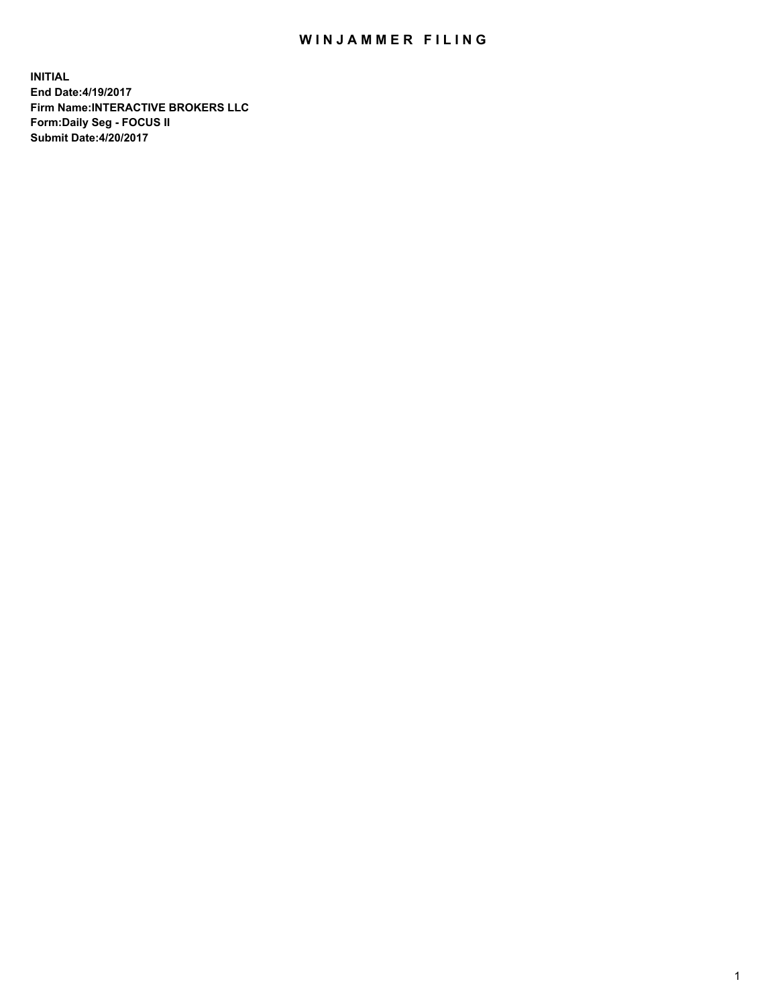## WIN JAMMER FILING

**INITIAL End Date:4/19/2017 Firm Name:INTERACTIVE BROKERS LLC Form:Daily Seg - FOCUS II Submit Date:4/20/2017**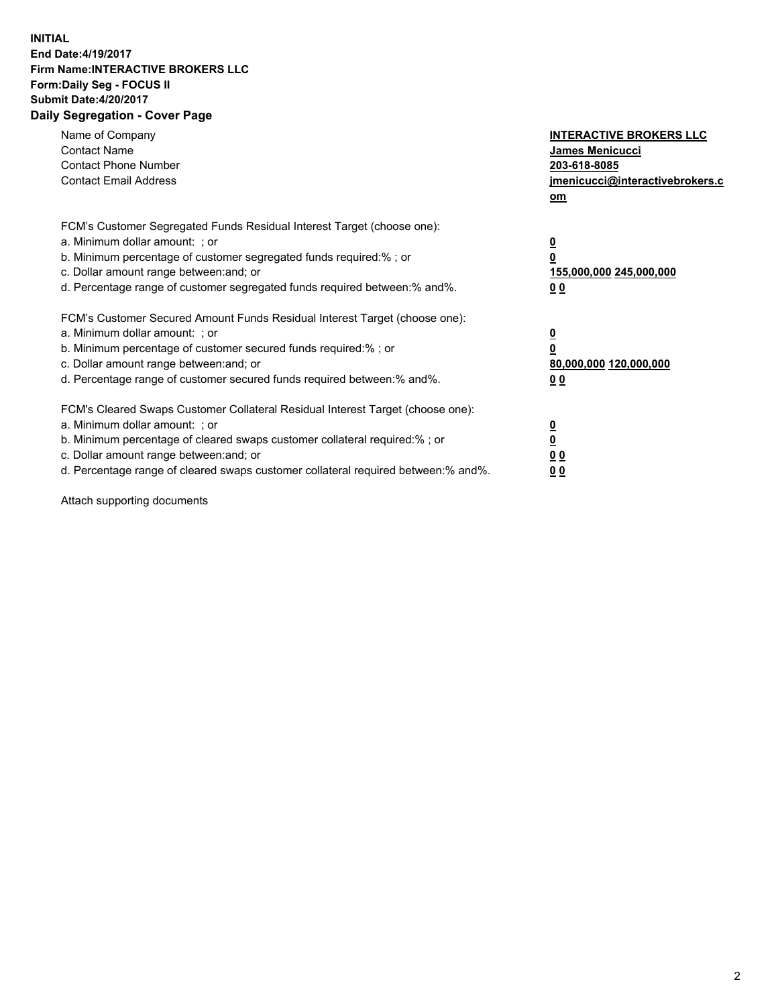## **INITIAL End Date:4/19/2017 Firm Name:INTERACTIVE BROKERS LLC Form:Daily Seg - FOCUS II Submit Date:4/20/2017 Daily Segregation - Cover Page**

| Name of Company<br><b>Contact Name</b><br><b>Contact Phone Number</b><br><b>Contact Email Address</b>                                                                                                                                                                                                                          | <b>INTERACTIVE BROKERS LLC</b><br><b>James Menicucci</b><br>203-618-8085<br>jmenicucci@interactivebrokers.c<br>om |
|--------------------------------------------------------------------------------------------------------------------------------------------------------------------------------------------------------------------------------------------------------------------------------------------------------------------------------|-------------------------------------------------------------------------------------------------------------------|
| FCM's Customer Segregated Funds Residual Interest Target (choose one):<br>a. Minimum dollar amount: ; or<br>b. Minimum percentage of customer segregated funds required:%; or<br>c. Dollar amount range between: and; or<br>d. Percentage range of customer segregated funds required between:% and%.                          | $\overline{\mathbf{0}}$<br>0<br>155,000,000 245,000,000<br>0 <sub>0</sub>                                         |
| FCM's Customer Secured Amount Funds Residual Interest Target (choose one):<br>a. Minimum dollar amount: ; or<br>b. Minimum percentage of customer secured funds required:%; or<br>c. Dollar amount range between: and; or<br>d. Percentage range of customer secured funds required between: % and %.                          | $\overline{\mathbf{0}}$<br>0<br>80,000,000 120,000,000<br>0 <sub>0</sub>                                          |
| FCM's Cleared Swaps Customer Collateral Residual Interest Target (choose one):<br>a. Minimum dollar amount: ; or<br>b. Minimum percentage of cleared swaps customer collateral required:% ; or<br>c. Dollar amount range between: and; or<br>d. Percentage range of cleared swaps customer collateral required between:% and%. | $\overline{\mathbf{0}}$<br>$\overline{\mathbf{0}}$<br>0 <sub>0</sub><br><u>00</u>                                 |

Attach supporting documents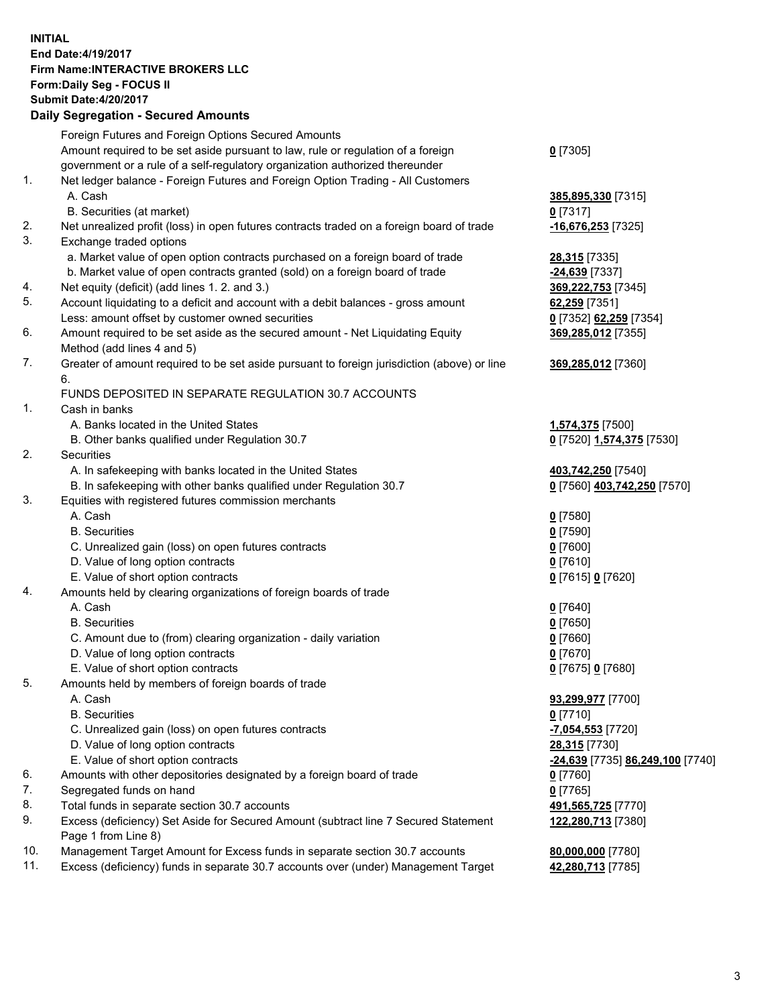## **INITIAL End Date:4/19/2017 Firm Name:INTERACTIVE BROKERS LLC Form:Daily Seg - FOCUS II Submit Date:4/20/2017**

|     | <b>Daily Segregation - Secured Amounts</b>                                                  |                                  |
|-----|---------------------------------------------------------------------------------------------|----------------------------------|
|     | Foreign Futures and Foreign Options Secured Amounts                                         |                                  |
|     | Amount required to be set aside pursuant to law, rule or regulation of a foreign            | $0$ [7305]                       |
|     | government or a rule of a self-regulatory organization authorized thereunder                |                                  |
| 1.  | Net ledger balance - Foreign Futures and Foreign Option Trading - All Customers             |                                  |
|     | A. Cash                                                                                     | 385,895,330 [7315]               |
|     | B. Securities (at market)                                                                   | 0 [7317]                         |
| 2.  | Net unrealized profit (loss) in open futures contracts traded on a foreign board of trade   | -16,676,253 [7325]               |
| 3.  | Exchange traded options                                                                     |                                  |
|     | a. Market value of open option contracts purchased on a foreign board of trade              | 28,315 [7335]                    |
|     | b. Market value of open contracts granted (sold) on a foreign board of trade                | -24,639 [7337]                   |
| 4.  | Net equity (deficit) (add lines 1.2. and 3.)                                                | 369,222,753 [7345]               |
| 5.  | Account liquidating to a deficit and account with a debit balances - gross amount           | 62,259 [7351]                    |
|     | Less: amount offset by customer owned securities                                            | 0 [7352] 62,259 [7354]           |
| 6.  | Amount required to be set aside as the secured amount - Net Liquidating Equity              | 369,285,012 [7355]               |
|     | Method (add lines 4 and 5)                                                                  |                                  |
| 7.  | Greater of amount required to be set aside pursuant to foreign jurisdiction (above) or line | 369,285,012 [7360]               |
|     | 6.                                                                                          |                                  |
|     | FUNDS DEPOSITED IN SEPARATE REGULATION 30.7 ACCOUNTS                                        |                                  |
| 1.  | Cash in banks                                                                               |                                  |
|     | A. Banks located in the United States                                                       | 1,574,375 [7500]                 |
|     | B. Other banks qualified under Regulation 30.7                                              | 0 [7520] 1,574,375 [7530]        |
| 2.  | Securities                                                                                  |                                  |
|     | A. In safekeeping with banks located in the United States                                   | 403,742,250 [7540]               |
|     | B. In safekeeping with other banks qualified under Regulation 30.7                          | 0 [7560] 403,742,250 [7570]      |
| 3.  | Equities with registered futures commission merchants                                       |                                  |
|     | A. Cash<br><b>B.</b> Securities                                                             | $0$ [7580]                       |
|     |                                                                                             | $0$ [7590]<br>$0$ [7600]         |
|     | C. Unrealized gain (loss) on open futures contracts<br>D. Value of long option contracts    | $0$ [7610]                       |
|     | E. Value of short option contracts                                                          | 0 [7615] 0 [7620]                |
| 4.  | Amounts held by clearing organizations of foreign boards of trade                           |                                  |
|     | A. Cash                                                                                     | $0$ [7640]                       |
|     | <b>B.</b> Securities                                                                        | $0$ [7650]                       |
|     | C. Amount due to (from) clearing organization - daily variation                             | $0$ [7660]                       |
|     | D. Value of long option contracts                                                           | $0$ [7670]                       |
|     | E. Value of short option contracts                                                          | 0 [7675] 0 [7680]                |
| 5.  | Amounts held by members of foreign boards of trade                                          |                                  |
|     | A. Cash                                                                                     | 93,299,977 [7700]                |
|     | <b>B.</b> Securities                                                                        | $0$ [7710]                       |
|     | C. Unrealized gain (loss) on open futures contracts                                         | <mark>-7,054,553</mark> [7720]   |
|     | D. Value of long option contracts                                                           | 28,315 [7730]                    |
|     | E. Value of short option contracts                                                          | -24,639 [7735] 86,249,100 [7740] |
| 6.  | Amounts with other depositories designated by a foreign board of trade                      | 0 [7760]                         |
| 7.  | Segregated funds on hand                                                                    | $0$ [7765]                       |
| 8.  | Total funds in separate section 30.7 accounts                                               | 491,565,725 [7770]               |
| 9.  | Excess (deficiency) Set Aside for Secured Amount (subtract line 7 Secured Statement         | 122,280,713 [7380]               |
|     | Page 1 from Line 8)                                                                         |                                  |
| 10. | Management Target Amount for Excess funds in separate section 30.7 accounts                 | 80,000,000 [7780]                |
| 11. | Excess (deficiency) funds in separate 30.7 accounts over (under) Management Target          | 42,280,713 [7785]                |
|     |                                                                                             |                                  |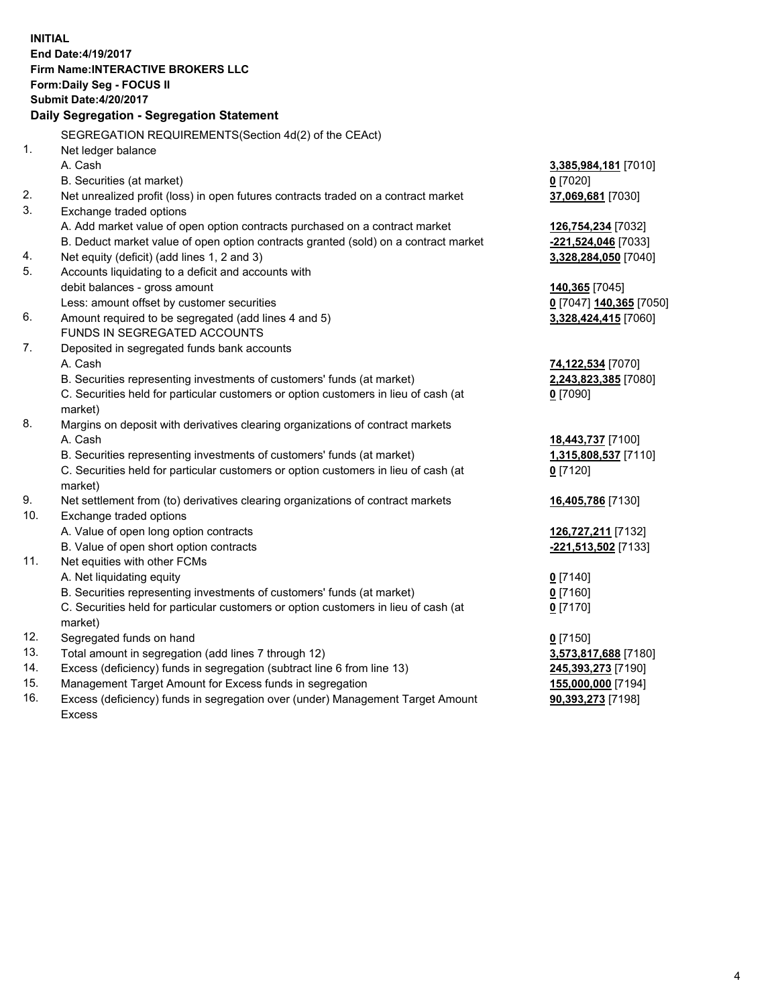**INITIAL End Date:4/19/2017 Firm Name:INTERACTIVE BROKERS LLC Form:Daily Seg - FOCUS II Submit Date:4/20/2017 Daily Segregation - Segregation Statement** SEGREGATION REQUIREMENTS(Section 4d(2) of the CEAct) 1. Net ledger balance A. Cash **3,385,984,181** [7010] B. Securities (at market) **0** [7020] 2. Net unrealized profit (loss) in open futures contracts traded on a contract market **37,069,681** [7030] 3. Exchange traded options A. Add market value of open option contracts purchased on a contract market **126,754,234** [7032] B. Deduct market value of open option contracts granted (sold) on a contract market **-221,524,046** [7033] 4. Net equity (deficit) (add lines 1, 2 and 3) **3,328,284,050** [7040] 5. Accounts liquidating to a deficit and accounts with debit balances - gross amount **140,365** [7045] Less: amount offset by customer securities **0** [7047] **140,365** [7050] 6. Amount required to be segregated (add lines 4 and 5) **3,328,424,415** [7060] FUNDS IN SEGREGATED ACCOUNTS 7. Deposited in segregated funds bank accounts A. Cash **74,122,534** [7070] B. Securities representing investments of customers' funds (at market) **2,243,823,385** [7080] C. Securities held for particular customers or option customers in lieu of cash (at market) **0** [7090] 8. Margins on deposit with derivatives clearing organizations of contract markets A. Cash **18,443,737** [7100] B. Securities representing investments of customers' funds (at market) **1,315,808,537** [7110] C. Securities held for particular customers or option customers in lieu of cash (at market) **0** [7120] 9. Net settlement from (to) derivatives clearing organizations of contract markets **16,405,786** [7130] 10. Exchange traded options A. Value of open long option contracts **126,727,211** [7132] B. Value of open short option contracts **-221,513,502** [7133] 11. Net equities with other FCMs A. Net liquidating equity **0** [7140] B. Securities representing investments of customers' funds (at market) **0** [7160] C. Securities held for particular customers or option customers in lieu of cash (at market) **0** [7170] 12. Segregated funds on hand **0** [7150] 13. Total amount in segregation (add lines 7 through 12) **3,573,817,688** [7180] 14. Excess (deficiency) funds in segregation (subtract line 6 from line 13) **245,393,273** [7190] 15. Management Target Amount for Excess funds in segregation **155,000,000** [7194] **90,393,273** [7198]

16. Excess (deficiency) funds in segregation over (under) Management Target Amount Excess